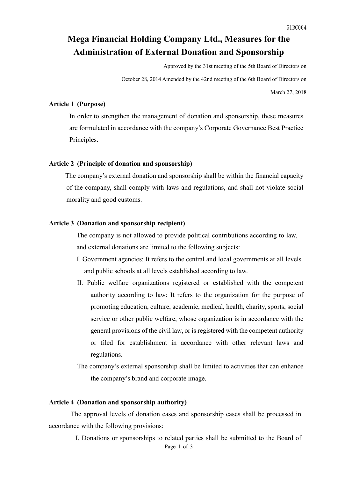# **Mega Financial Holding Company Ltd., Measures for the Administration of External Donation and Sponsorship**

Approved by the 31st meeting of the 5th Board of Directors on

October 28, 2014 Amended by the 42nd meeting of the 6th Board of Directors on

March 27, 2018

### **Article 1 (Purpose)**

In order to strengthen the management of donation and sponsorship, these measures are formulated in accordance with the company's Corporate Governance Best Practice Principles.

#### **Article 2 (Principle of donation and sponsorship)**

 The company's external donation and sponsorship shall be within the financial capacity of the company, shall comply with laws and regulations, and shall not violate social morality and good customs.

#### **Article 3 (Donation and sponsorship recipient)**

The company is not allowed to provide political contributions according to law, and external donations are limited to the following subjects:

- I. Government agencies: It refers to the central and local governments at all levels and public schools at all levels established according to law.
- II. Public welfare organizations registered or established with the competent authority according to law: It refers to the organization for the purpose of promoting education, culture, academic, medical, health, charity, sports, social service or other public welfare, whose organization is in accordance with the general provisions of the civil law, or is registered with the competent authority or filed for establishment in accordance with other relevant laws and regulations.
- The company's external sponsorship shall be limited to activities that can enhance the company's brand and corporate image.

#### **Article 4 (Donation and sponsorship authority)**

 The approval levels of donation cases and sponsorship cases shall be processed in accordance with the following provisions:

> Page 1 of 3 I. Donations or sponsorships to related parties shall be submitted to the Board of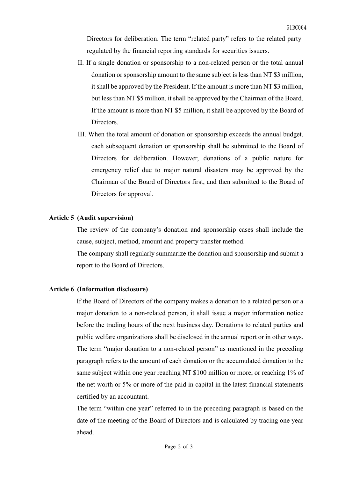Directors for deliberation. The term "related party" refers to the related party regulated by the financial reporting standards for securities issuers.

- II. If a single donation or sponsorship to a non-related person or the total annual donation or sponsorship amount to the same subject is less than NT \$3 million, it shall be approved by the President. If the amount is more than NT \$3 million, but less than NT \$5 million, it shall be approved by the Chairman of the Board. If the amount is more than NT \$5 million, it shall be approved by the Board of Directors.
- III. When the total amount of donation or sponsorship exceeds the annual budget, each subsequent donation or sponsorship shall be submitted to the Board of Directors for deliberation. However, donations of a public nature for emergency relief due to major natural disasters may be approved by the Chairman of the Board of Directors first, and then submitted to the Board of Directors for approval.

#### **Article 5 (Audit supervision)**

The review of the company's donation and sponsorship cases shall include the cause, subject, method, amount and property transfer method.

The company shall regularly summarize the donation and sponsorship and submit a report to the Board of Directors.

#### **Article 6 (Information disclosure)**

If the Board of Directors of the company makes a donation to a related person or a major donation to a non-related person, it shall issue a major information notice before the trading hours of the next business day. Donations to related parties and public welfare organizations shall be disclosed in the annual report or in other ways. The term "major donation to a non-related person" as mentioned in the preceding paragraph refers to the amount of each donation or the accumulated donation to the same subject within one year reaching NT \$100 million or more, or reaching 1% of the net worth or 5% or more of the paid in capital in the latest financial statements certified by an accountant.

The term "within one year" referred to in the preceding paragraph is based on the date of the meeting of the Board of Directors and is calculated by tracing one year ahead.